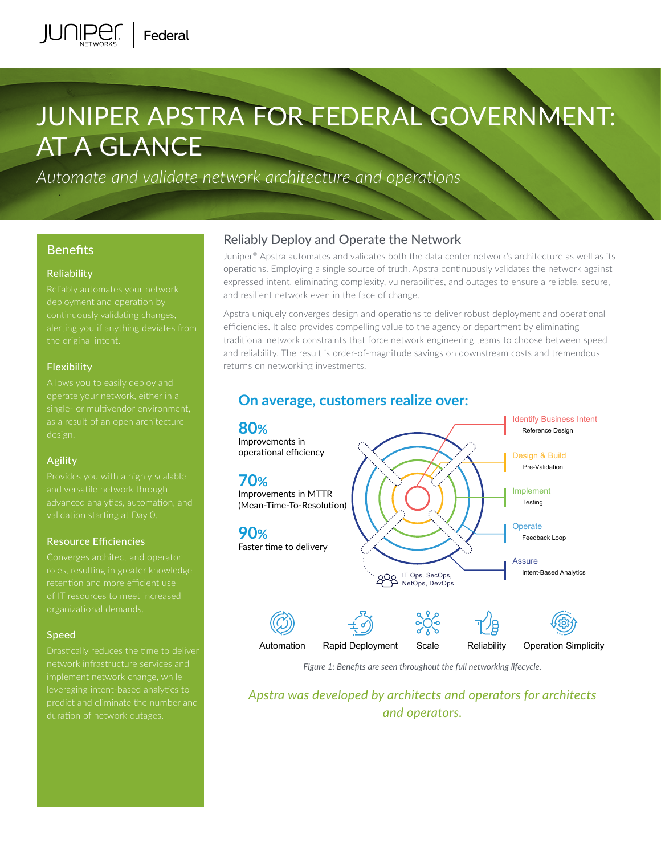# JUNIPER APSTRA FOR FEDERAL GOVERNMENT: AT A GLANCE

*Automate and validate network architecture and operations*

## **Benefits**

### Reliability

alerting you if anything deviates from

### Flexibility

operate your network, either in a

#### Agility

validation starting at Day 0.

#### Resource Efficiencies

of IT resources to meet increased

#### Speed

predict and eliminate the number and duration of network outages.

## Reliably Deploy and Operate the Network

Juniper® Apstra automates and validates both the data center network's architecture as well as its operations. Employing a single source of truth, Apstra continuously validates the network against expressed intent, eliminating complexity, vulnerabilities, and outages to ensure a reliable, secure, and resilient network even in the face of change.

Apstra uniquely converges design and operations to deliver robust deployment and operational efficiencies. It also provides compelling value to the agency or department by eliminating traditional network constraints that force network engineering teams to choose between speed and reliability. The result is order-of-magnitude savings on downstream costs and tremendous returns on networking investments.



**On average, customers realize over:**

*Figure 1: Benefits are seen throughout the full networking lifecycle.*

*Apstra was developed by architects and operators for architects and operators.*